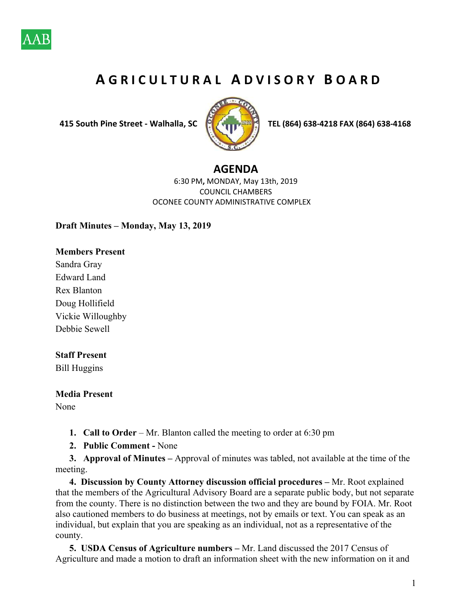

# **A G R I C U L T U R A L A D V I S O R Y B O A R D**

 **415 South Pine Street ‐ Walhalla, SC TEL (864) 638‐4218 FAX (864) 638‐4168** 



### **AGENDA**

6:30 PM**,** MONDAY, May 13th, 2019 COUNCIL CHAMBERS OCONEE COUNTY ADMINISTRATIVE COMPLEX

#### **Draft Minutes – Monday, May 13, 2019**

#### **Members Present**

Sandra Gray Edward Land Rex Blanton Doug Hollifield Vickie Willoughby Debbie Sewell

#### **Staff Present**

Bill Huggins

## **Media Present**

None

- **1. Call to Order** Mr. Blanton called the meeting to order at 6:30 pm
- **2. Public Comment** None
- **3. Approval of Minutes** Approval of minutes was tabled, not available at the time of the meeting.

**4. Discussion by County Attorney discussion official procedures –** Mr. Root explained that the members of the Agricultural Advisory Board are a separate public body, but not separate from the county. There is no distinction between the two and they are bound by FOIA. Mr. Root also cautioned members to do business at meetings, not by emails or text. You can speak as an individual, but explain that you are speaking as an individual, not as a representative of the county.

**5. USDA Census of Agriculture numbers –** Mr. Land discussed the 2017 Census of Agriculture and made a motion to draft an information sheet with the new information on it and